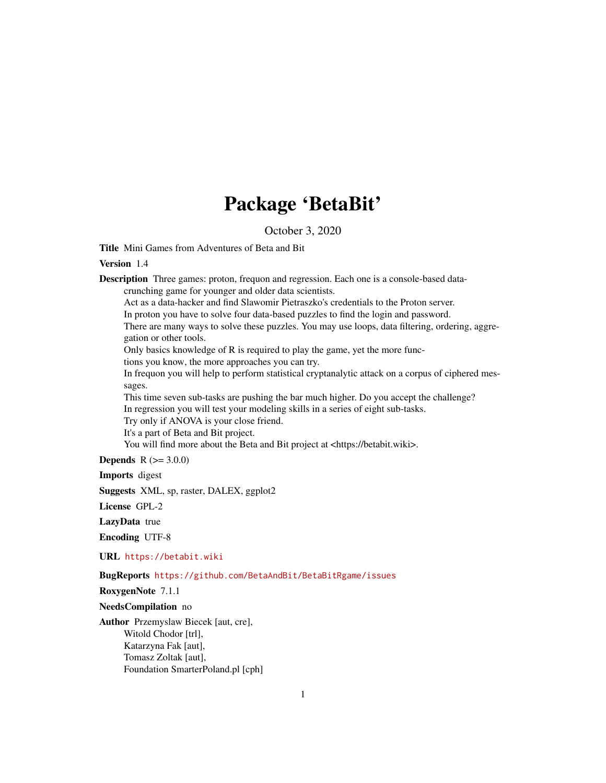# Package 'BetaBit'

October 3, 2020

Title Mini Games from Adventures of Beta and Bit

Version 1.4

Description Three games: proton, frequon and regression. Each one is a console-based datacrunching game for younger and older data scientists.

Act as a data-hacker and find Slawomir Pietraszko's credentials to the Proton server.

In proton you have to solve four data-based puzzles to find the login and password.

There are many ways to solve these puzzles. You may use loops, data filtering, ordering, aggregation or other tools.

Only basics knowledge of R is required to play the game, yet the more func-

tions you know, the more approaches you can try.

In frequon you will help to perform statistical cryptanalytic attack on a corpus of ciphered messages.

This time seven sub-tasks are pushing the bar much higher. Do you accept the challenge? In regression you will test your modeling skills in a series of eight sub-tasks.

Try only if ANOVA is your close friend.

It's a part of Beta and Bit project.

You will find more about the Beta and Bit project at <https://betabit.wiki>.

**Depends** R  $(>= 3.0.0)$ 

Imports digest

Suggests XML, sp, raster, DALEX, ggplot2

License GPL-2

LazyData true

Encoding UTF-8

URL <https://betabit.wiki>

BugReports <https://github.com/BetaAndBit/BetaBitRgame/issues>

RoxygenNote 7.1.1

NeedsCompilation no

Author Przemyslaw Biecek [aut, cre], Witold Chodor [trl], Katarzyna Fak [aut], Tomasz Zoltak [aut], Foundation SmarterPoland.pl [cph]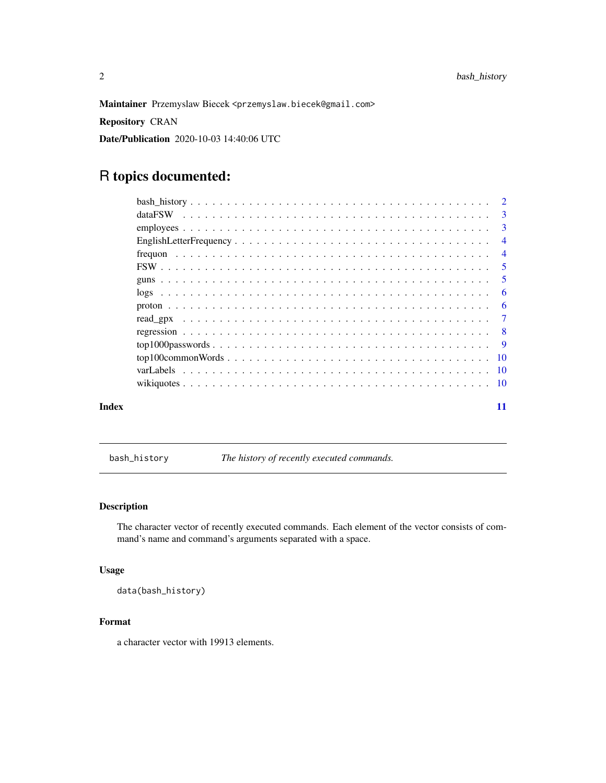<span id="page-1-0"></span>Maintainer Przemyslaw Biecek <przemyslaw.biecek@gmail.com>

Repository CRAN

Date/Publication 2020-10-03 14:40:06 UTC

## R topics documented:

|       | $\overline{4}$             |    |
|-------|----------------------------|----|
|       | $\overline{4}$             |    |
|       | $\overline{\phantom{0}}$ 5 |    |
|       |                            |    |
|       |                            | -6 |
|       |                            | -6 |
|       |                            |    |
|       |                            |    |
|       |                            |    |
|       |                            |    |
|       |                            |    |
|       |                            |    |
| Index |                            | 11 |

bash\_history *The history of recently executed commands.*

### Description

The character vector of recently executed commands. Each element of the vector consists of command's name and command's arguments separated with a space.

#### Usage

data(bash\_history)

#### Format

a character vector with 19913 elements.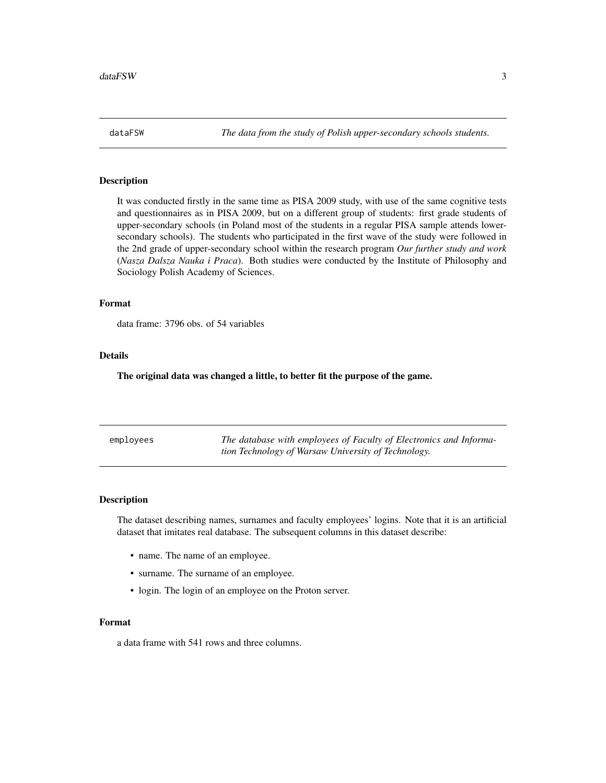<span id="page-2-0"></span>

#### Description

It was conducted firstly in the same time as PISA 2009 study, with use of the same cognitive tests and questionnaires as in PISA 2009, but on a different group of students: first grade students of upper-secondary schools (in Poland most of the students in a regular PISA sample attends lowersecondary schools). The students who participated in the first wave of the study were followed in the 2nd grade of upper-secondary school within the research program *Our further study and work* (*Nasza Dalsza Nauka i Praca*). Both studies were conducted by the Institute of Philosophy and Sociology Polish Academy of Sciences.

#### Format

data frame: 3796 obs. of 54 variables

#### Details

The original data was changed a little, to better fit the purpose of the game.

| employees | The database with employees of Faculty of Electronics and Informa- |
|-----------|--------------------------------------------------------------------|
|           | tion Technology of Warsaw University of Technology.                |

#### Description

The dataset describing names, surnames and faculty employees' logins. Note that it is an artificial dataset that imitates real database. The subsequent columns in this dataset describe:

- name. The name of an employee.
- surname. The surname of an employee.
- login. The login of an employee on the Proton server.

#### Format

a data frame with 541 rows and three columns.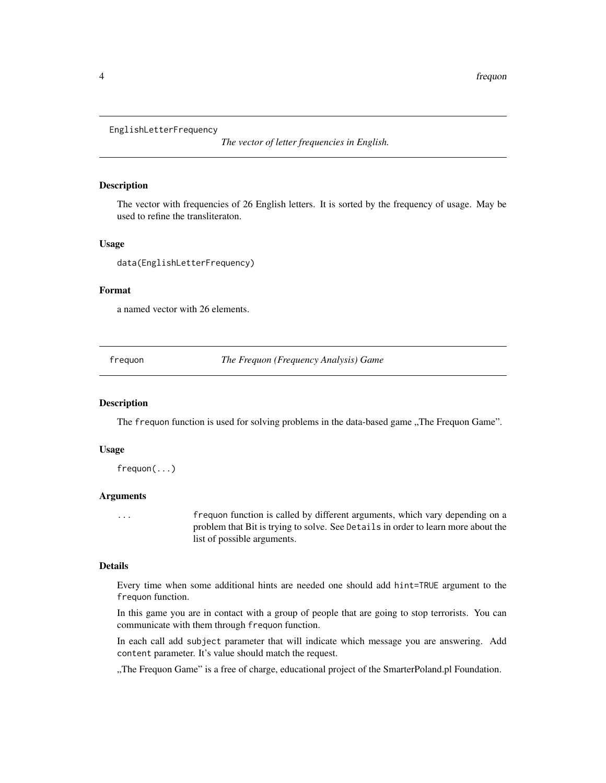```
EnglishLetterFrequency
```
*The vector of letter frequencies in English.*

#### **Description**

The vector with frequencies of 26 English letters. It is sorted by the frequency of usage. May be used to refine the transliteraton.

#### Usage

data(EnglishLetterFrequency)

#### Format

a named vector with 26 elements.

frequon *The Frequon (Frequency Analysis) Game*

#### Description

The frequon function is used for solving problems in the data-based game "The Frequon Game".

#### Usage

frequon(...)

#### Arguments

... frequon function is called by different arguments, which vary depending on a problem that Bit is trying to solve. See Details in order to learn more about the list of possible arguments.

#### Details

Every time when some additional hints are needed one should add hint=TRUE argument to the frequon function.

In this game you are in contact with a group of people that are going to stop terrorists. You can communicate with them through frequon function.

In each call add subject parameter that will indicate which message you are answering. Add content parameter. It's value should match the request.

"The Frequon Game" is a free of charge, educational project of the SmarterPoland.pl Foundation.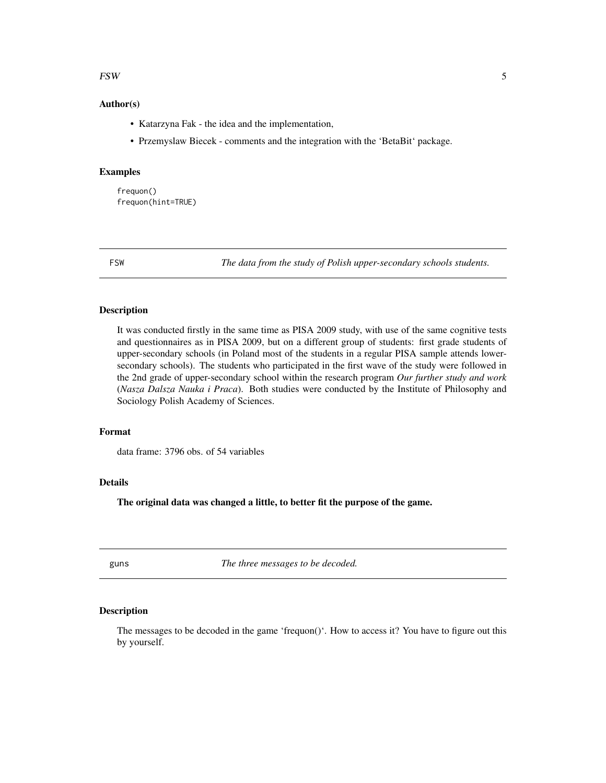#### <span id="page-4-0"></span>FSW 5

#### Author(s)

- Katarzyna Fak the idea and the implementation,
- Przemyslaw Biecek comments and the integration with the 'BetaBit' package.

#### Examples

frequon() frequon(hint=TRUE)

FSW *The data from the study of Polish upper-secondary schools students.*

#### Description

It was conducted firstly in the same time as PISA 2009 study, with use of the same cognitive tests and questionnaires as in PISA 2009, but on a different group of students: first grade students of upper-secondary schools (in Poland most of the students in a regular PISA sample attends lowersecondary schools). The students who participated in the first wave of the study were followed in the 2nd grade of upper-secondary school within the research program *Our further study and work* (*Nasza Dalsza Nauka i Praca*). Both studies were conducted by the Institute of Philosophy and Sociology Polish Academy of Sciences.

#### Format

data frame: 3796 obs. of 54 variables

#### Details

The original data was changed a little, to better fit the purpose of the game.

guns *The three messages to be decoded.*

#### **Description**

The messages to be decoded in the game 'frequon()'. How to access it? You have to figure out this by yourself.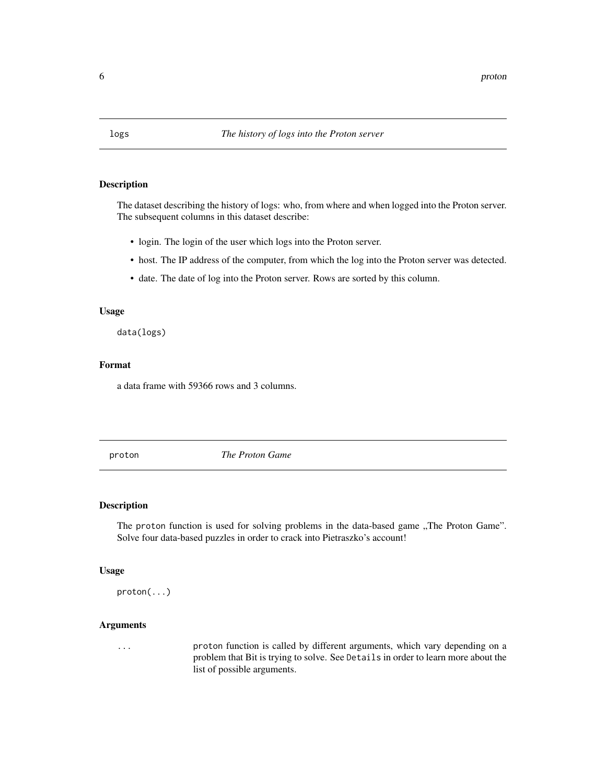<span id="page-5-0"></span>

#### Description

The dataset describing the history of logs: who, from where and when logged into the Proton server. The subsequent columns in this dataset describe:

- login. The login of the user which logs into the Proton server.
- host. The IP address of the computer, from which the log into the Proton server was detected.
- date. The date of log into the Proton server. Rows are sorted by this column.

#### Usage

data(logs)

#### Format

a data frame with 59366 rows and 3 columns.

proton *The Proton Game*

#### Description

The proton function is used for solving problems in the data-based game "The Proton Game". Solve four data-based puzzles in order to crack into Pietraszko's account!

#### Usage

proton(...)

#### Arguments

... proton function is called by different arguments, which vary depending on a problem that Bit is trying to solve. See Details in order to learn more about the list of possible arguments.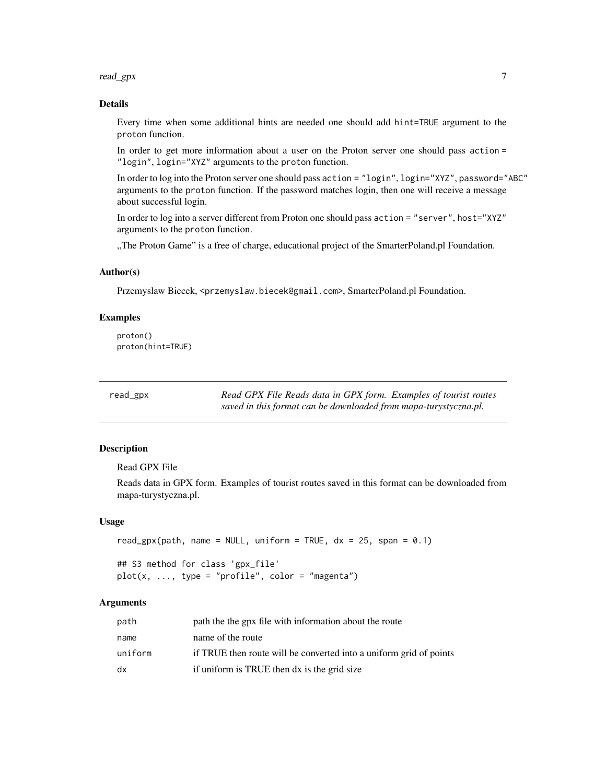#### <span id="page-6-0"></span>read\_gpx 7

#### Details

Every time when some additional hints are needed one should add hint=TRUE argument to the proton function.

In order to get more information about a user on the Proton server one should pass action = "login", login="XYZ" arguments to the proton function.

In order to log into the Proton server one should pass action = "login", login="XYZ", password="ABC" arguments to the proton function. If the password matches login, then one will receive a message about successful login.

In order to log into a server different from Proton one should pass action = "server", host="XYZ" arguments to the proton function.

"The Proton Game" is a free of charge, educational project of the SmarterPoland.pl Foundation.

#### Author(s)

Przemyslaw Biecek, <przemyslaw.biecek@gmail.com>, SmarterPoland.pl Foundation.

#### Examples

proton() proton(hint=TRUE)

read\_gpx *Read GPX File Reads data in GPX form. Examples of tourist routes saved in this format can be downloaded from mapa-turystyczna.pl.*

#### **Description**

Read GPX File

Reads data in GPX form. Examples of tourist routes saved in this format can be downloaded from mapa-turystyczna.pl.

#### Usage

```
read_gpx(path, name = NULL, uniform = TRUE, dx = 25, span = 0.1)
```
## S3 method for class 'gpx\_file'  $plot(x, ..., type = "profile", color = "magenta")$ 

#### Arguments

| path    | path the the gpx file with information about the route             |
|---------|--------------------------------------------------------------------|
| name    | name of the route                                                  |
| uniform | if TRUE then route will be converted into a uniform grid of points |
| dx      | if uniform is TRUE then dx is the grid size                        |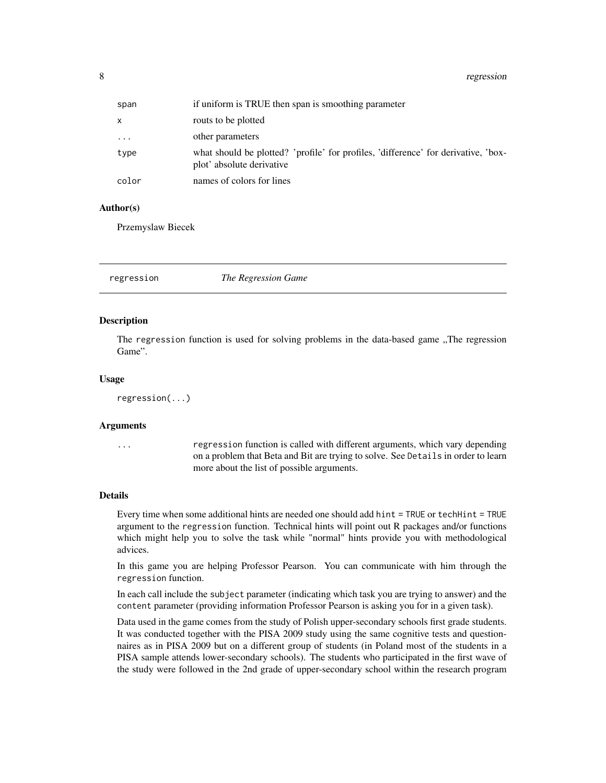<span id="page-7-0"></span>8 regression and the contract of the contract of the contract of the contract of the contract of the contract of the contract of the contract of the contract of the contract of the contract of the contract of the contract

| span      | if uniform is TRUE then span is smoothing parameter                                                             |
|-----------|-----------------------------------------------------------------------------------------------------------------|
| $\times$  | routs to be plotted                                                                                             |
| $\ddotsc$ | other parameters                                                                                                |
| type      | what should be plotted? 'profile' for profiles, 'difference' for derivative, 'box-<br>plot' absolute derivative |
| color     | names of colors for lines                                                                                       |

#### Author(s)

Przemyslaw Biecek

regression *The Regression Game*

#### Description

The regression function is used for solving problems in the data-based game "The regression" Game".

#### Usage

regression(...)

#### Arguments

... regression function is called with different arguments, which vary depending on a problem that Beta and Bit are trying to solve. See Details in order to learn more about the list of possible arguments.

#### Details

Every time when some additional hints are needed one should add hint = TRUE or techHint = TRUE argument to the regression function. Technical hints will point out R packages and/or functions which might help you to solve the task while "normal" hints provide you with methodological advices.

In this game you are helping Professor Pearson. You can communicate with him through the regression function.

In each call include the subject parameter (indicating which task you are trying to answer) and the content parameter (providing information Professor Pearson is asking you for in a given task).

Data used in the game comes from the study of Polish upper-secondary schools first grade students. It was conducted together with the PISA 2009 study using the same cognitive tests and questionnaires as in PISA 2009 but on a different group of students (in Poland most of the students in a PISA sample attends lower-secondary schools). The students who participated in the first wave of the study were followed in the 2nd grade of upper-secondary school within the research program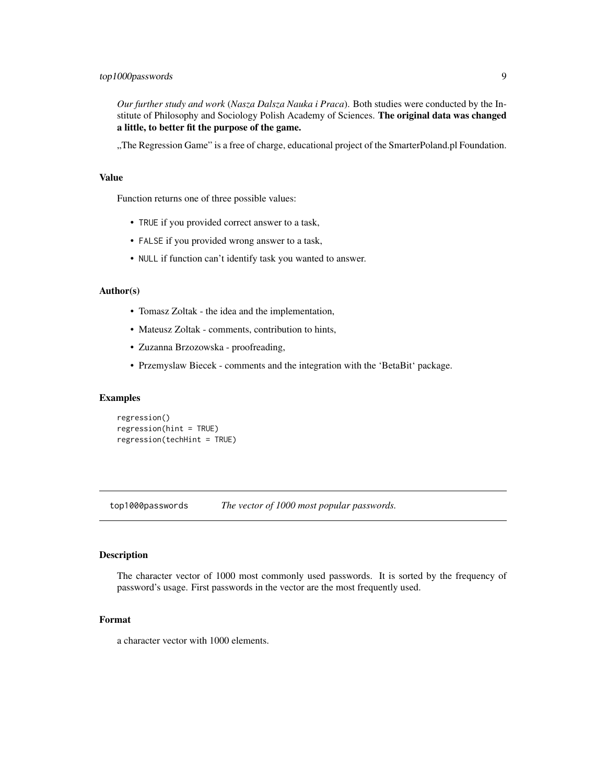<span id="page-8-0"></span>*Our further study and work* (*Nasza Dalsza Nauka i Praca*). Both studies were conducted by the Institute of Philosophy and Sociology Polish Academy of Sciences. The original data was changed a little, to better fit the purpose of the game.

"The Regression Game" is a free of charge, educational project of the SmarterPoland.pl Foundation.

#### Value

Function returns one of three possible values:

- TRUE if you provided correct answer to a task,
- FALSE if you provided wrong answer to a task,
- NULL if function can't identify task you wanted to answer.

#### Author(s)

- Tomasz Zoltak the idea and the implementation,
- Mateusz Zoltak comments, contribution to hints,
- Zuzanna Brzozowska proofreading,
- Przemyslaw Biecek comments and the integration with the 'BetaBit' package.

#### Examples

```
regression()
regression(hint = TRUE)
regression(techHint = TRUE)
```
top1000passwords *The vector of 1000 most popular passwords.*

#### Description

The character vector of 1000 most commonly used passwords. It is sorted by the frequency of password's usage. First passwords in the vector are the most frequently used.

#### Format

a character vector with 1000 elements.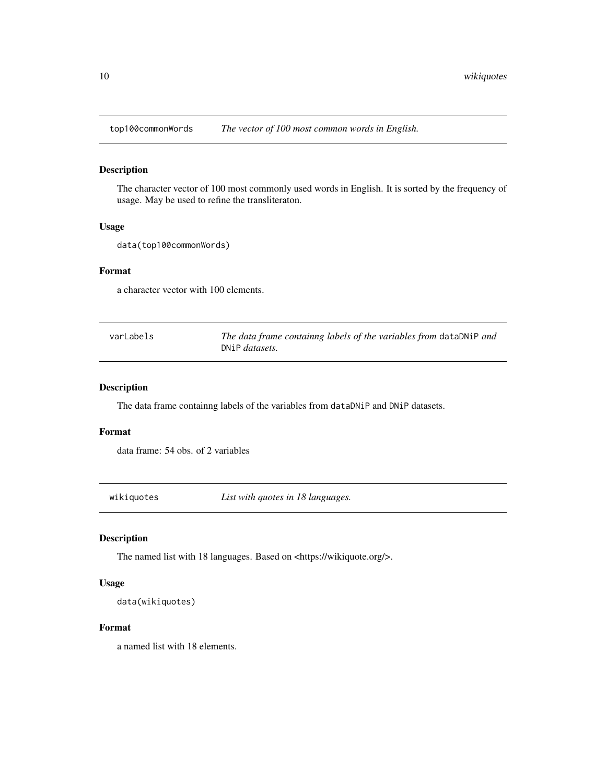<span id="page-9-0"></span>

#### Description

The character vector of 100 most commonly used words in English. It is sorted by the frequency of usage. May be used to refine the transliteraton.

#### Usage

data(top100commonWords)

#### Format

a character vector with 100 elements.

| varLabels | The data frame containng labels of the variables from dataDNiP and |
|-----------|--------------------------------------------------------------------|
|           | DNiP <i>datasets</i> .                                             |

### Description

The data frame containng labels of the variables from dataDNiP and DNiP datasets.

#### Format

data frame: 54 obs. of 2 variables

wikiquotes *List with quotes in 18 languages.*

#### Description

The named list with 18 languages. Based on <https://wikiquote.org/>.

#### Usage

data(wikiquotes)

#### Format

a named list with 18 elements.